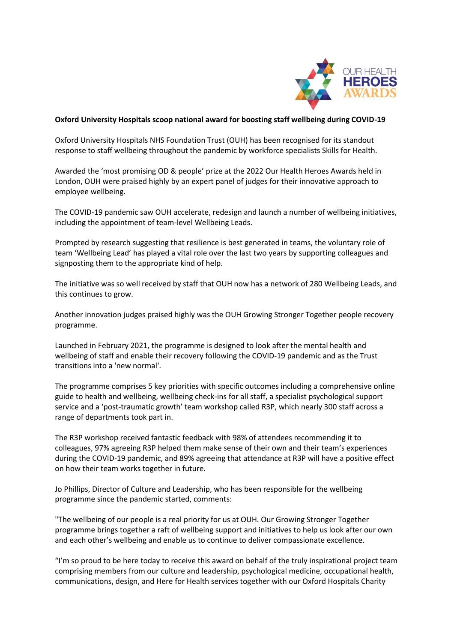

## **Oxford University Hospitals scoop national award for boosting staff wellbeing during COVID-19**

Oxford University Hospitals NHS Foundation Trust (OUH) has been recognised for its standout response to staff wellbeing throughout the pandemic by workforce specialists Skills for Health.

Awarded the 'most promising OD & people' prize at the 2022 Our Health Heroes Awards held in London, OUH were praised highly by an expert panel of judges for their innovative approach to employee wellbeing.

The COVID-19 pandemic saw OUH accelerate, redesign and launch a number of wellbeing initiatives, including the appointment of team-level Wellbeing Leads.

Prompted by research suggesting that resilience is best generated in teams, the voluntary role of team 'Wellbeing Lead' has played a vital role over the last two years by supporting colleagues and signposting them to the appropriate kind of help.

The initiative was so well received by staff that OUH now has a network of 280 Wellbeing Leads, and this continues to grow.

Another innovation judges praised highly was the OUH Growing Stronger Together people recovery programme.

Launched in February 2021, the programme is designed to look after the mental health and wellbeing of staff and enable their recovery following the COVID-19 pandemic and as the Trust transitions into a 'new normal'.

The programme comprises 5 key priorities with specific outcomes including a comprehensive online guide to health and wellbeing, wellbeing check-ins for all staff, a specialist psychological support service and a 'post-traumatic growth' team workshop called R3P, which nearly 300 staff across a range of departments took part in.

The R3P workshop received fantastic feedback with 98% of attendees recommending it to colleagues, 97% agreeing R3P helped them make sense of their own and their team's experiences during the COVID-19 pandemic, and 89% agreeing that attendance at R3P will have a positive effect on how their team works together in future.

Jo Phillips, Director of Culture and Leadership, who has been responsible for the wellbeing programme since the pandemic started, comments:

"The wellbeing of our people is a real priority for us at OUH. Our Growing Stronger Together programme brings together a raft of wellbeing support and initiatives to help us look after our own and each other's wellbeing and enable us to continue to deliver compassionate excellence.

"I'm so proud to be here today to receive this award on behalf of the truly inspirational project team comprising members from our culture and leadership, psychological medicine, occupational health, communications, design, and Here for Health services together with our Oxford Hospitals Charity